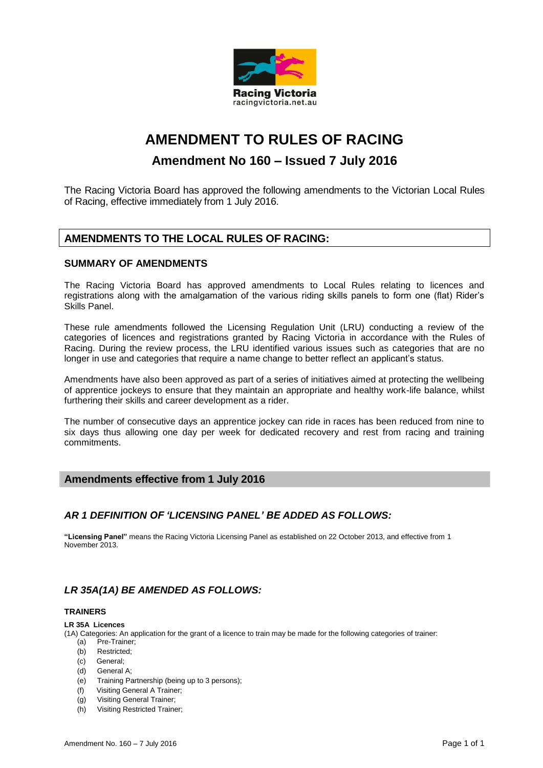

# **AMENDMENT TO RULES OF RACING**

# **Amendment No 160 – Issued 7 July 2016**

The Racing Victoria Board has approved the following amendments to the Victorian Local Rules of Racing, effective immediately from 1 July 2016.

# **AMENDMENTS TO THE LOCAL RULES OF RACING:**

# **SUMMARY OF AMENDMENTS**

The Racing Victoria Board has approved amendments to Local Rules relating to licences and registrations along with the amalgamation of the various riding skills panels to form one (flat) Rider's Skills Panel.

These rule amendments followed the Licensing Regulation Unit (LRU) conducting a review of the categories of licences and registrations granted by Racing Victoria in accordance with the Rules of Racing. During the review process, the LRU identified various issues such as categories that are no longer in use and categories that require a name change to better reflect an applicant's status.

Amendments have also been approved as part of a series of initiatives aimed at protecting the wellbeing of apprentice jockeys to ensure that they maintain an appropriate and healthy work-life balance, whilst furthering their skills and career development as a rider.

The number of consecutive days an apprentice jockey can ride in races has been reduced from nine to six days thus allowing one day per week for dedicated recovery and rest from racing and training commitments.

# **Amendments effective from 1 July 2016**

# *AR 1 DEFINITION OF 'LICENSING PANEL' BE ADDED AS FOLLOWS:*

**"Licensing Panel"** means the Racing Victoria Licensing Panel as established on 22 October 2013, and effective from 1 November 2013.

# *LR 35A(1A) BE AMENDED AS FOLLOWS:*

#### **TRAINERS**

#### **LR 35A Licences**

(1A) Categories: An application for the grant of a licence to train may be made for the following categories of trainer:

- (a) Pre-Trainer;
- (b) Restricted;
- (c) General;
- (d) General A;
- (e) Training Partnership (being up to 3 persons);
- (f) Visiting General A Trainer;
- (g) Visiting General Trainer;
- (h) Visiting Restricted Trainer;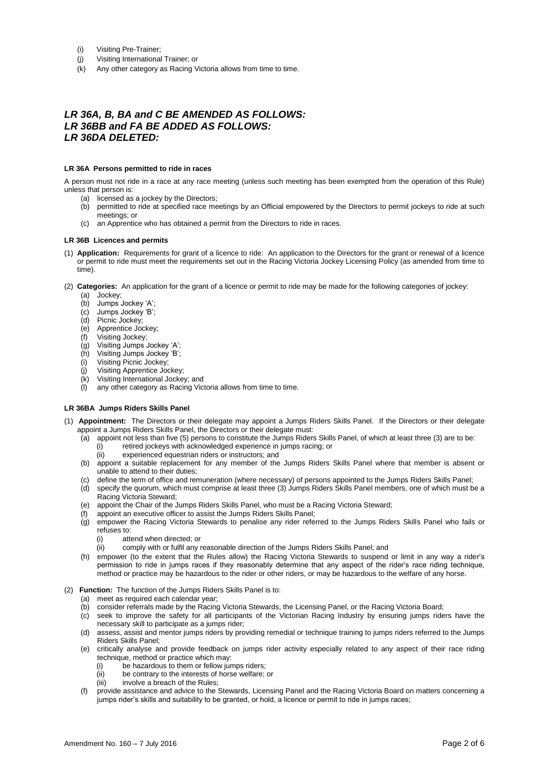- (i) Visiting Pre-Trainer;
- (j) Visiting International Trainer; or
- (k) Any other category as Racing Victoria allows from time to time.

# *LR 36A, B, BA and C BE AMENDED AS FOLLOWS: LR 36BB and FA BE ADDED AS FOLLOWS: LR 36DA DELETED:*

#### **LR 36A Persons permitted to ride in races**

A person must not ride in a race at any race meeting (unless such meeting has been exempted from the operation of this Rule) unless that person is:

- (a) licensed as a jockey by the Directors;
- (b) permitted to ride at specified race meetings by an Official empowered by the Directors to permit jockeys to ride at such meetings; or
- (c) an Apprentice who has obtained a permit from the Directors to ride in races.

#### **LR 36B Licences and permits**

- (1) **Application:** Requirements for grant of a licence to ride: An application to the Directors for the grant or renewal of a licence or permit to ride must meet the requirements set out in the Racing Victoria Jockey Licensing Policy (as amended from time to time).
- (2) **Categories:** An application for the grant of a licence or permit to ride may be made for the following categories of jockey:
	- (a) Jockey;
	- (b) Jumps Jockey 'A';
	- (c) Jumps Jockey 'B';
	- (d) Picnic Jockey;
	- (e) Apprentice Jockey;
	- (f) Visiting Jockey;
	- (g) Visiting Jumps Jockey 'A';
	- (h) Visiting Jumps Jockey 'B';
	- (i) Visiting Picnic Jockey;
	- (j) Visiting Apprentice Jockey;
	- (k) Visiting International Jockey; and
	- (l) any other category as Racing Victoria allows from time to time.

#### **LR 36BA Jumps Riders Skills Panel**

- (1) **Appointment:** The Directors or their delegate may appoint a Jumps Riders Skills Panel. If the Directors or their delegate appoint a Jumps Riders Skills Panel, the Directors or their delegate must:
	- (a) appoint not less than five (5) persons to constitute the Jumps Riders Skills Panel, of which at least three (3) are to be: (i) retired jockeys with acknowledged experience in jumps racing; or
		- (ii) experienced equestrian riders or instructors; and
	- (b) appoint a suitable replacement for any member of the Jumps Riders Skills Panel where that member is absent or unable to attend to their duties;
	- (c) define the term of office and remuneration (where necessary) of persons appointed to the Jumps Riders Skills Panel;
	- (d) specify the quorum, which must comprise at least three (3) Jumps Riders Skills Panel members, one of which must be a Racing Victoria Steward;
	- (e) appoint the Chair of the Jumps Riders Skills Panel, who must be a Racing Victoria Steward;
	- appoint an executive officer to assist the Jumps Riders Skills Panel;
	- (g) empower the Racing Victoria Stewards to penalise any rider referred to the Jumps Riders Skills Panel who fails or refuses to:
		- (i) attend when directed; or
		- (ii) comply with or fulfil any reasonable direction of the Jumps Riders Skills Panel; and
	- (h) empower (to the extent that the Rules allow) the Racing Victoria Stewards to suspend or limit in any way a rider's permission to ride in jumps races if they reasonably determine that any aspect of the rider's race riding technique, method or practice may be hazardous to the rider or other riders, or may be hazardous to the welfare of any horse.
- (2) **Function:** The function of the Jumps Riders Skills Panel is to:
	- (a) meet as required each calendar year;
	- (b) consider referrals made by the Racing Victoria Stewards, the Licensing Panel, or the Racing Victoria Board;
	- (c) seek to improve the safety for all participants of the Victorian Racing Industry by ensuring jumps riders have the necessary skill to participate as a jumps rider;
	- (d) assess, assist and mentor jumps riders by providing remedial or technique training to jumps riders referred to the Jumps Riders Skills Panel;
	- (e) critically analyse and provide feedback on jumps rider activity especially related to any aspect of their race riding technique, method or practice which may:
		- (i) be hazardous to them or fellow jumps riders;
		- (ii) be contrary to the interests of horse welfare; or
		- (iii) involve a breach of the Rules;
	- (f) provide assistance and advice to the Stewards, Licensing Panel and the Racing Victoria Board on matters concerning a jumps rider's skills and suitability to be granted, or hold, a licence or permit to ride in jumps races;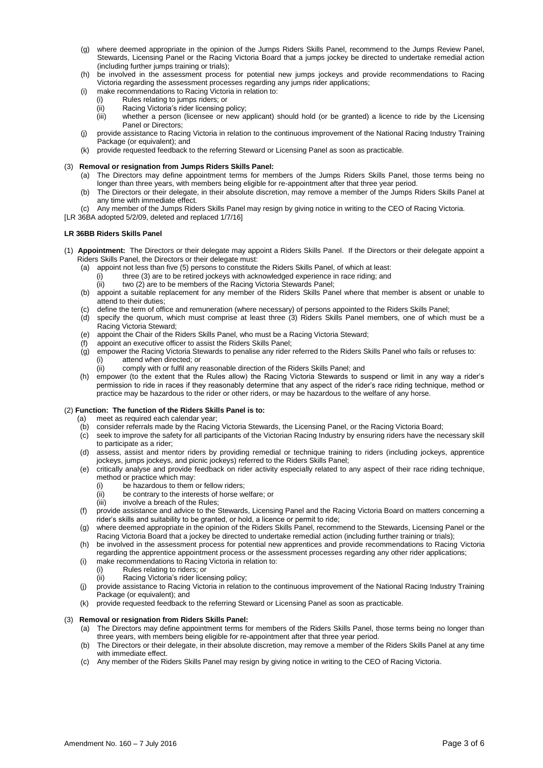- (g) where deemed appropriate in the opinion of the Jumps Riders Skills Panel, recommend to the Jumps Review Panel, Stewards, Licensing Panel or the Racing Victoria Board that a jumps jockey be directed to undertake remedial action (including further jumps training or trials);
- (h) be involved in the assessment process for potential new jumps jockeys and provide recommendations to Racing Victoria regarding the assessment processes regarding any jumps rider applications;
- (i) make recommendations to Racing Victoria in relation to:
	- Rules relating to jumps riders; or
	- (ii) Racing Victoria's rider licensing policy;<br>(iii) whether a person (licensee or new a
	- whether a person (licensee or new applicant) should hold (or be granted) a licence to ride by the Licensing Panel or Directors;
- (j) provide assistance to Racing Victoria in relation to the continuous improvement of the National Racing Industry Training Package (or equivalent); and
- (k) provide requested feedback to the referring Steward or Licensing Panel as soon as practicable.

#### (3) **Removal or resignation from Jumps Riders Skills Panel:**

- (a) The Directors may define appointment terms for members of the Jumps Riders Skills Panel, those terms being no longer than three years, with members being eligible for re-appointment after that three year period.
- (b) The Directors or their delegate, in their absolute discretion, may remove a member of the Jumps Riders Skills Panel at any time with immediate effect.
- Any member of the Jumps Riders Skills Panel may resign by giving notice in writing to the CEO of Racing Victoria.
- [LR 36BA adopted 5/2/09, deleted and replaced 1/7/16]

#### **LR 36BB Riders Skills Panel**

- (1) **Appointment:** The Directors or their delegate may appoint a Riders Skills Panel. If the Directors or their delegate appoint a Riders Skills Panel, the Directors or their delegate must:
	- (a) appoint not less than five (5) persons to constitute the Riders Skills Panel, of which at least:
		- (i) three (3) are to be retired jockeys with acknowledged experience in race riding; and  $\frac{1}{10}$  two (2) are to be members of the Racing Victoria Stewards Panel:
		- two (2) are to be members of the Racing Victoria Stewards Panel;
	- (b) appoint a suitable replacement for any member of the Riders Skills Panel where that member is absent or unable to attend to their duties;
	- (c) define the term of office and remuneration (where necessary) of persons appointed to the Riders Skills Panel;
	- (d) specify the quorum, which must comprise at least three (3) Riders Skills Panel members, one of which must be a Racing Victoria Steward;
	- (e) appoint the Chair of the Riders Skills Panel, who must be a Racing Victoria Steward;
	- appoint an executive officer to assist the Riders Skills Panel;
	- (g) empower the Racing Victoria Stewards to penalise any rider referred to the Riders Skills Panel who fails or refuses to: attend when directed; or
		- comply with or fulfil any reasonable direction of the Riders Skills Panel; and
	- (h) empower (to the extent that the Rules allow) the Racing Victoria Stewards to suspend or limit in any way a rider's permission to ride in races if they reasonably determine that any aspect of the rider's race riding technique, method or practice may be hazardous to the rider or other riders, or may be hazardous to the welfare of any horse.

#### (2) **Function: The function of the Riders Skills Panel is to:**

- meet as required each calendar year;
- (b) consider referrals made by the Racing Victoria Stewards, the Licensing Panel, or the Racing Victoria Board;
- (c) seek to improve the safety for all participants of the Victorian Racing Industry by ensuring riders have the necessary skill to participate as a rider;
- (d) assess, assist and mentor riders by providing remedial or technique training to riders (including jockeys, apprentice jockeys, jumps jockeys, and picnic jockeys) referred to the Riders Skills Panel;
- (e) critically analyse and provide feedback on rider activity especially related to any aspect of their race riding technique, method or practice which may:
	-
	- (i) be hazardous to them or fellow riders;<br>(ii) be contrary to the interests of horse w be contrary to the interests of horse welfare; or
	- (iii) involve a breach of the Rules;
- (f) provide assistance and advice to the Stewards, Licensing Panel and the Racing Victoria Board on matters concerning a rider's skills and suitability to be granted, or hold, a licence or permit to ride;
- (g) where deemed appropriate in the opinion of the Riders Skills Panel, recommend to the Stewards, Licensing Panel or the Racing Victoria Board that a jockey be directed to undertake remedial action (including further training or trials);
- (h) be involved in the assessment process for potential new apprentices and provide recommendations to Racing Victoria regarding the apprentice appointment process or the assessment processes regarding any other rider applications;
- (i) make recommendations to Racing Victoria in relation to:
	- Rules relating to riders; or
- (ii) Racing Victoria's rider licensing policy;
- (j) provide assistance to Racing Victoria in relation to the continuous improvement of the National Racing Industry Training Package (or equivalent); and
- (k) provide requested feedback to the referring Steward or Licensing Panel as soon as practicable.

#### (3) **Removal or resignation from Riders Skills Panel:**

- (a) The Directors may define appointment terms for members of the Riders Skills Panel, those terms being no longer than three years, with members being eligible for re-appointment after that three year period.
- (b) The Directors or their delegate, in their absolute discretion, may remove a member of the Riders Skills Panel at any time with immediate effect.
- (c) Any member of the Riders Skills Panel may resign by giving notice in writing to the CEO of Racing Victoria.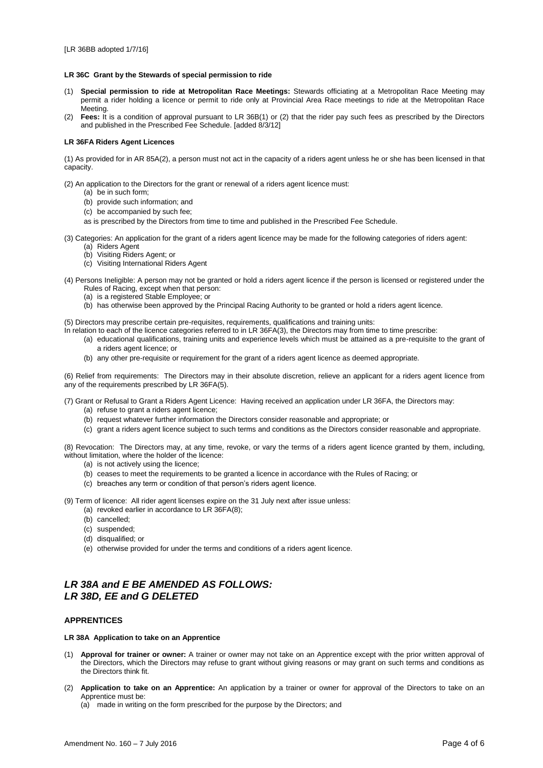#### **LR 36C Grant by the Stewards of special permission to ride**

- (1) **Special permission to ride at Metropolitan Race Meetings:** Stewards officiating at a Metropolitan Race Meeting may permit a rider holding a licence or permit to ride only at Provincial Area Race meetings to ride at the Metropolitan Race Meeting.
- (2) **Fees:** It is a condition of approval pursuant to LR 36B(1) or (2) that the rider pay such fees as prescribed by the Directors and published in the Prescribed Fee Schedule. [added 8/3/12]

#### **LR 36FA Riders Agent Licences**

(1) As provided for in AR 85A(2), a person must not act in the capacity of a riders agent unless he or she has been licensed in that capacity.

(2) An application to the Directors for the grant or renewal of a riders agent licence must:

- (a) be in such form;
- (b) provide such information; and
- (c) be accompanied by such fee;
- as is prescribed by the Directors from time to time and published in the Prescribed Fee Schedule.
- (3) Categories: An application for the grant of a riders agent licence may be made for the following categories of riders agent: (a) Riders Agent
	- (b) Visiting Riders Agent; or
	- (c) Visiting International Riders Agent
- (4) Persons Ineligible: A person may not be granted or hold a riders agent licence if the person is licensed or registered under the Rules of Racing, except when that person:
	- (a) is a registered Stable Employee; or
	- (b) has otherwise been approved by the Principal Racing Authority to be granted or hold a riders agent licence.
- (5) Directors may prescribe certain pre-requisites, requirements, qualifications and training units:
- In relation to each of the licence categories referred to in LR 36FA(3), the Directors may from time to time prescribe:
	- (a) educational qualifications, training units and experience levels which must be attained as a pre-requisite to the grant of a riders agent licence; or
	- (b) any other pre-requisite or requirement for the grant of a riders agent licence as deemed appropriate.

(6) Relief from requirements: The Directors may in their absolute discretion, relieve an applicant for a riders agent licence from any of the requirements prescribed by LR 36FA(5).

(7) Grant or Refusal to Grant a Riders Agent Licence: Having received an application under LR 36FA, the Directors may:

- (a) refuse to grant a riders agent licence;
- (b) request whatever further information the Directors consider reasonable and appropriate; or
- (c) grant a riders agent licence subject to such terms and conditions as the Directors consider reasonable and appropriate.

(8) Revocation: The Directors may, at any time, revoke, or vary the terms of a riders agent licence granted by them, including, without limitation, where the holder of the licence:

- (a) is not actively using the licence;
- (b) ceases to meet the requirements to be granted a licence in accordance with the Rules of Racing; or
- (c) breaches any term or condition of that person's riders agent licence.

(9) Term of licence: All rider agent licenses expire on the 31 July next after issue unless:

- (a) revoked earlier in accordance to LR 36FA(8);
- (b) cancelled;
- (c) suspended;
- (d) disqualified; or
- (e) otherwise provided for under the terms and conditions of a riders agent licence.

# *LR 38A and E BE AMENDED AS FOLLOWS: LR 38D, EE and G DELETED*

#### **APPRENTICES**

#### **LR 38A Application to take on an Apprentice**

- (1) **Approval for trainer or owner:** A trainer or owner may not take on an Apprentice except with the prior written approval of the Directors, which the Directors may refuse to grant without giving reasons or may grant on such terms and conditions as the Directors think fit.
- (2) **Application to take on an Apprentice:** An application by a trainer or owner for approval of the Directors to take on an Apprentice must be:
	- (a) made in writing on the form prescribed for the purpose by the Directors; and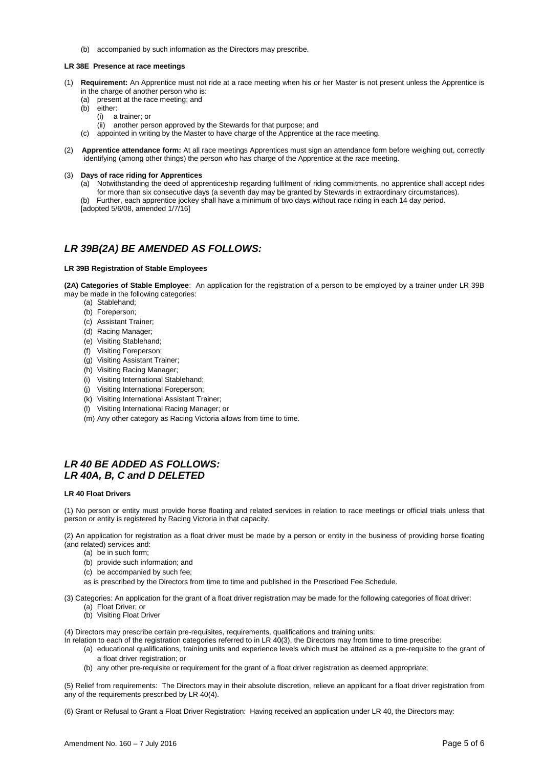(b) accompanied by such information as the Directors may prescribe.

#### **LR 38E Presence at race meetings**

- (1) **Requirement:** An Apprentice must not ride at a race meeting when his or her Master is not present unless the Apprentice is in the charge of another person who is:
	- (a) present at the race meeting; and
	- (b) either:
		- (i) a trainer; or
		- (ii) another person approved by the Stewards for that purpose; and
	- (c) appointed in writing by the Master to have charge of the Apprentice at the race meeting.
- (2) **Apprentice attendance form:** At all race meetings Apprentices must sign an attendance form before weighing out, correctly identifying (among other things) the person who has charge of the Apprentice at the race meeting.

#### (3) **Days of race riding for Apprentices**

(a) Notwithstanding the deed of apprenticeship regarding fulfilment of riding commitments, no apprentice shall accept rides for more than six consecutive days (a seventh day may be granted by Stewards in extraordinary circumstances).

(b) Further, each apprentice jockey shall have a minimum of two days without race riding in each 14 day period. [adopted 5/6/08, amended 1/7/16]

# *LR 39B(2A) BE AMENDED AS FOLLOWS:*

#### **LR 39B Registration of Stable Employees**

**(2A) Categories of Stable Employee**: An application for the registration of a person to be employed by a trainer under LR 39B may be made in the following categories:

- (a) Stablehand;
- (b) Foreperson;
- (c) Assistant Trainer;
- (d) Racing Manager;
- (e) Visiting Stablehand;
- (f) Visiting Foreperson;
- (g) Visiting Assistant Trainer;
- (h) Visiting Racing Manager;
- (i) Visiting International Stablehand;
- (j) Visiting International Foreperson;
- (k) Visiting International Assistant Trainer;
- (l) Visiting International Racing Manager; or
- (m) Any other category as Racing Victoria allows from time to time.

### *LR 40 BE ADDED AS FOLLOWS: LR 40A, B, C and D DELETED*

#### **LR 40 Float Drivers**

(1) No person or entity must provide horse floating and related services in relation to race meetings or official trials unless that person or entity is registered by Racing Victoria in that capacity.

(2) An application for registration as a float driver must be made by a person or entity in the business of providing horse floating (and related) services and:

- (a) be in such form;
- (b) provide such information; and
- (c) be accompanied by such fee;
- as is prescribed by the Directors from time to time and published in the Prescribed Fee Schedule.
- (3) Categories: An application for the grant of a float driver registration may be made for the following categories of float driver: (a) Float Driver; or
	- (b) Visiting Float Driver

(4) Directors may prescribe certain pre-requisites, requirements, qualifications and training units:

In relation to each of the registration categories referred to in LR 40(3), the Directors may from time to time prescribe:

- (a) educational qualifications, training units and experience levels which must be attained as a pre-requisite to the grant of a float driver registration; or
- (b) any other pre-requisite or requirement for the grant of a float driver registration as deemed appropriate;

(5) Relief from requirements: The Directors may in their absolute discretion, relieve an applicant for a float driver registration from any of the requirements prescribed by LR 40(4).

(6) Grant or Refusal to Grant a Float Driver Registration: Having received an application under LR 40, the Directors may: